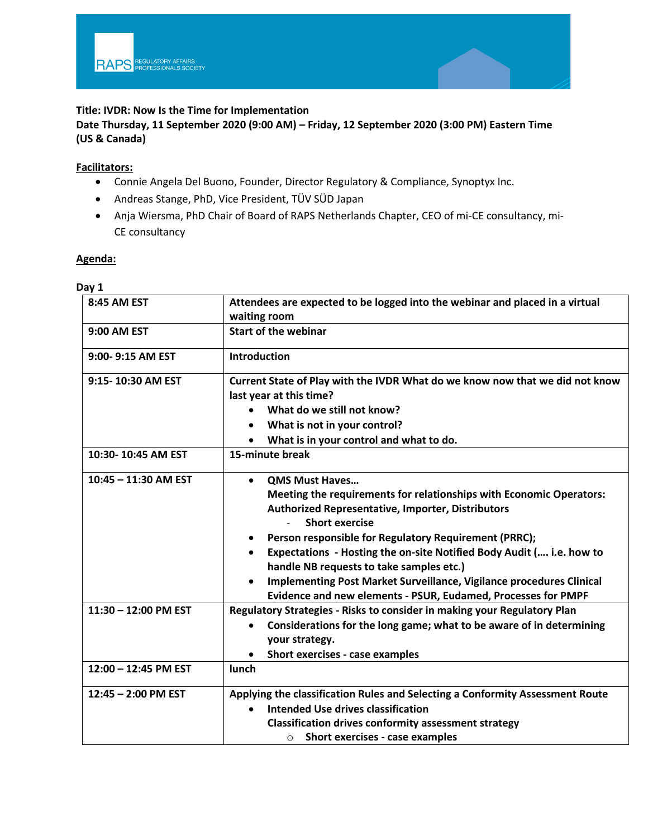## **Title: IVDR: Now Is the Time for Implementation**

**Date Thursday, 11 September 2020 (9:00 AM) – Friday, 12 September 2020 (3:00 PM) Eastern Time (US & Canada)**

## **Facilitators:**

- Connie Angela Del Buono, Founder, Director Regulatory & Compliance, Synoptyx Inc.
- Andreas Stange, PhD, Vice President, TÜV SÜD Japan
- Anja Wiersma, PhD Chair of Board of RAPS Netherlands Chapter, CEO of mi-CE consultancy, mi-CE consultancy

## **Agenda:**

| Day 1                  |                                                                                                                                                                                                                                                                                                                                                                                                                                                                                                         |
|------------------------|---------------------------------------------------------------------------------------------------------------------------------------------------------------------------------------------------------------------------------------------------------------------------------------------------------------------------------------------------------------------------------------------------------------------------------------------------------------------------------------------------------|
| <b>8:45 AM EST</b>     | Attendees are expected to be logged into the webinar and placed in a virtual<br>waiting room                                                                                                                                                                                                                                                                                                                                                                                                            |
| 9:00 AM EST            | <b>Start of the webinar</b>                                                                                                                                                                                                                                                                                                                                                                                                                                                                             |
| 9:00-9:15 AM EST       | <b>Introduction</b>                                                                                                                                                                                                                                                                                                                                                                                                                                                                                     |
| 9:15-10:30 AM EST      | Current State of Play with the IVDR What do we know now that we did not know<br>last year at this time?<br>What do we still not know?<br>What is not in your control?<br>What is in your control and what to do.                                                                                                                                                                                                                                                                                        |
| 10:30-10:45 AM EST     | 15-minute break                                                                                                                                                                                                                                                                                                                                                                                                                                                                                         |
| $10:45 - 11:30$ AM EST | <b>QMS Must Haves</b><br>Meeting the requirements for relationships with Economic Operators:<br><b>Authorized Representative, Importer, Distributors</b><br><b>Short exercise</b><br>Person responsible for Regulatory Requirement (PRRC);<br>Expectations - Hosting the on-site Notified Body Audit ( i.e. how to<br>handle NB requests to take samples etc.)<br>Implementing Post Market Surveillance, Vigilance procedures Clinical<br>Evidence and new elements - PSUR, Eudamed, Processes for PMPF |
| 11:30 - 12:00 PM EST   | Regulatory Strategies - Risks to consider in making your Regulatory Plan<br>Considerations for the long game; what to be aware of in determining<br>your strategy.<br>Short exercises - case examples                                                                                                                                                                                                                                                                                                   |
| 12:00 - 12:45 PM EST   | lunch                                                                                                                                                                                                                                                                                                                                                                                                                                                                                                   |
| $12:45 - 2:00$ PM EST  | Applying the classification Rules and Selecting a Conformity Assessment Route<br><b>Intended Use drives classification</b><br><b>Classification drives conformity assessment strategy</b><br>Short exercises - case examples<br>$\circ$                                                                                                                                                                                                                                                                 |